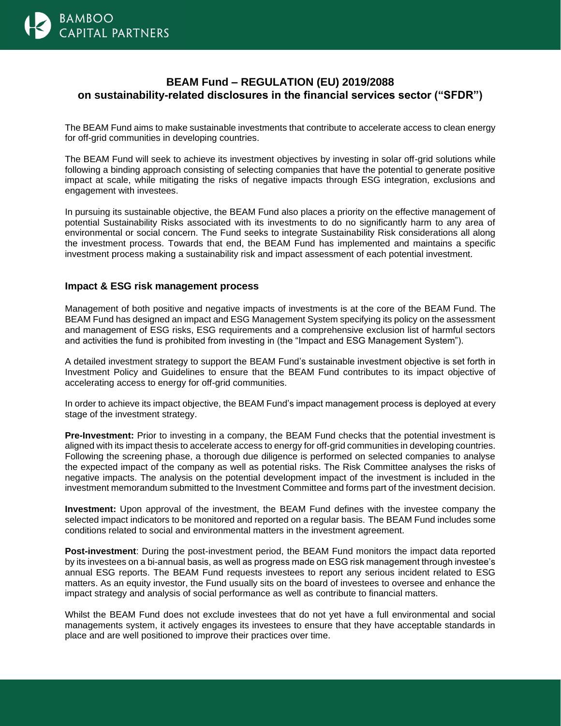

## **BEAM Fund – REGULATION (EU) 2019/2088 on sustainability-related disclosures in the financial services sector ("SFDR")**

The BEAM Fund aims to make sustainable investments that contribute to accelerate access to clean energy for off-grid communities in developing countries.

The BEAM Fund will seek to achieve its investment objectives by investing in solar off-grid solutions while following a binding approach consisting of selecting companies that have the potential to generate positive impact at scale, while mitigating the risks of negative impacts through ESG integration, exclusions and engagement with investees.

In pursuing its sustainable objective, the BEAM Fund also places a priority on the effective management of potential Sustainability Risks associated with its investments to do no significantly harm to any area of environmental or social concern. The Fund seeks to integrate Sustainability Risk considerations all along the investment process. Towards that end, the BEAM Fund has implemented and maintains a specific investment process making a sustainability risk and impact assessment of each potential investment.

## **Impact & ESG risk management process**

Management of both positive and negative impacts of investments is at the core of the BEAM Fund. The BEAM Fund has designed an impact and ESG Management System specifying its policy on the assessment and management of ESG risks, ESG requirements and a comprehensive exclusion list of harmful sectors and activities the fund is prohibited from investing in (the "Impact and ESG Management System").

A detailed investment strategy to support the BEAM Fund's sustainable investment objective is set forth in Investment Policy and Guidelines to ensure that the BEAM Fund contributes to its impact objective of accelerating access to energy for off-grid communities.

In order to achieve its impact objective, the BEAM Fund's impact management process is deployed at every stage of the investment strategy.

**Pre-Investment:** Prior to investing in a company, the BEAM Fund checks that the potential investment is aligned with its impact thesis to accelerate access to energy for off-grid communities in developing countries. Following the screening phase, a thorough due diligence is performed on selected companies to analyse the expected impact of the company as well as potential risks. The Risk Committee analyses the risks of negative impacts. The analysis on the potential development impact of the investment is included in the investment memorandum submitted to the Investment Committee and forms part of the investment decision.

**Investment:** Upon approval of the investment, the BEAM Fund defines with the investee company the selected impact indicators to be monitored and reported on a regular basis. The BEAM Fund includes some conditions related to social and environmental matters in the investment agreement.

**Post-investment**: During the post-investment period, the BEAM Fund monitors the impact data reported by its investees on a bi-annual basis, as well as progress made on ESG risk management through investee's annual ESG reports. The BEAM Fund requests investees to report any serious incident related to ESG matters. As an equity investor, the Fund usually sits on the board of investees to oversee and enhance the impact strategy and analysis of social performance as well as contribute to financial matters.

Whilst the BEAM Fund does not exclude investees that do not yet have a full environmental and social managements system, it actively engages its investees to ensure that they have acceptable standards in place and are well positioned to improve their practices over time.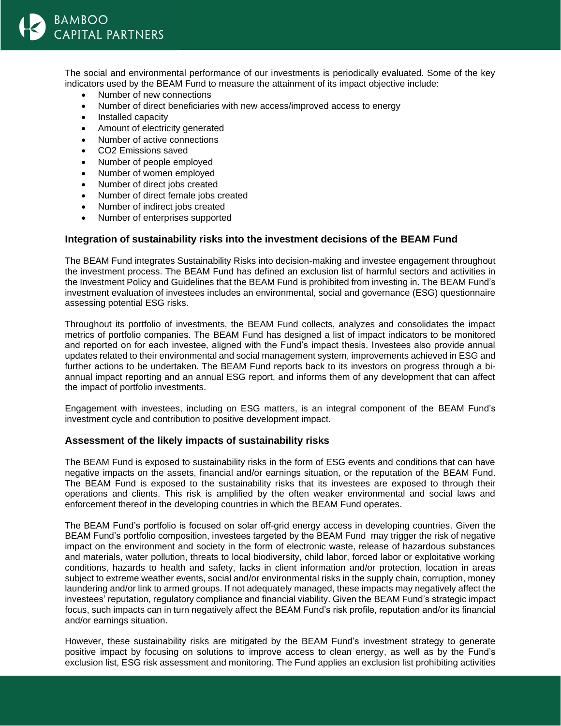The social and environmental performance of our investments is periodically evaluated. Some of the key indicators used by the BEAM Fund to measure the attainment of its impact objective include:

- Number of new connections
- Number of direct beneficiaries with new access/improved access to energy
- Installed capacity
- Amount of electricity generated
- Number of active connections
- CO2 Emissions saved
- Number of people employed
- Number of women employed
- Number of direct jobs created
- Number of direct female jobs created
- Number of indirect jobs created
- Number of enterprises supported

## **Integration of sustainability risks into the investment decisions of the BEAM Fund**

The BEAM Fund integrates Sustainability Risks into decision-making and investee engagement throughout the investment process. The BEAM Fund has defined an exclusion list of harmful sectors and activities in the Investment Policy and Guidelines that the BEAM Fund is prohibited from investing in. The BEAM Fund's investment evaluation of investees includes an environmental, social and governance (ESG) questionnaire assessing potential ESG risks.

Throughout its portfolio of investments, the BEAM Fund collects, analyzes and consolidates the impact metrics of portfolio companies. The BEAM Fund has designed a list of impact indicators to be monitored and reported on for each investee, aligned with the Fund's impact thesis. Investees also provide annual updates related to their environmental and social management system, improvements achieved in ESG and further actions to be undertaken. The BEAM Fund reports back to its investors on progress through a biannual impact reporting and an annual ESG report, and informs them of any development that can affect the impact of portfolio investments.

Engagement with investees, including on ESG matters, is an integral component of the BEAM Fund's investment cycle and contribution to positive development impact.

## **Assessment of the likely impacts of sustainability risks**

The BEAM Fund is exposed to sustainability risks in the form of ESG events and conditions that can have negative impacts on the assets, financial and/or earnings situation, or the reputation of the BEAM Fund. The BEAM Fund is exposed to the sustainability risks that its investees are exposed to through their operations and clients. This risk is amplified by the often weaker environmental and social laws and enforcement thereof in the developing countries in which the BEAM Fund operates.

The BEAM Fund's portfolio is focused on solar off-grid energy access in developing countries. Given the BEAM Fund's portfolio composition, investees targeted by the BEAM Fund may trigger the risk of negative impact on the environment and society in the form of electronic waste, release of hazardous substances and materials, water pollution, threats to local biodiversity, child labor, forced labor or exploitative working conditions, hazards to health and safety, lacks in client information and/or protection, location in areas subject to extreme weather events, social and/or environmental risks in the supply chain, corruption, money laundering and/or link to armed groups. If not adequately managed, these impacts may negatively affect the investees' reputation, regulatory compliance and financial viability. Given the BEAM Fund's strategic impact focus, such impacts can in turn negatively affect the BEAM Fund's risk profile, reputation and/or its financial and/or earnings situation.

However, these sustainability risks are mitigated by the BEAM Fund's investment strategy to generate positive impact by focusing on solutions to improve access to clean energy, as well as by the Fund's exclusion list, ESG risk assessment and monitoring. The Fund applies an exclusion list prohibiting activities